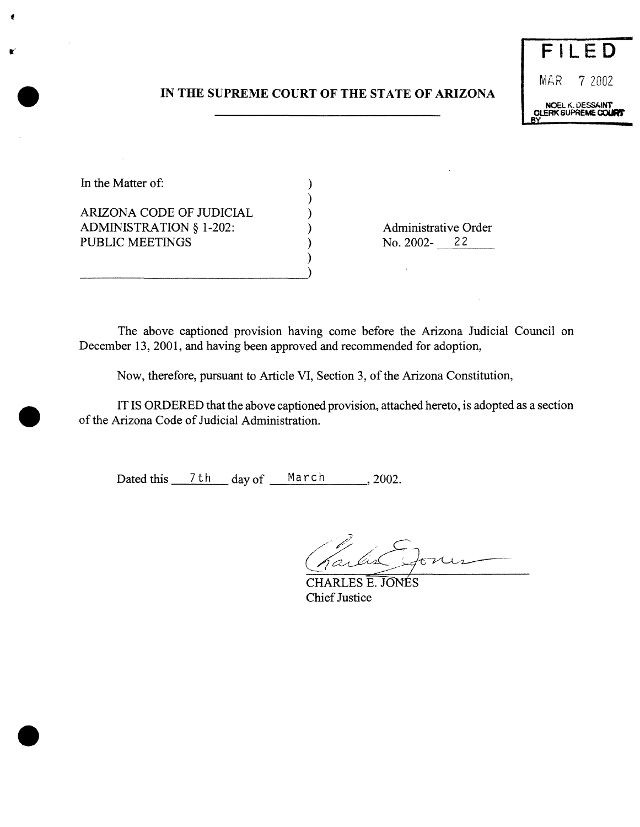# **IN THE SUPREME COURT OF THE STATE OF ARIZONA**

)

)



In the Matter of:  $\qquad \qquad$  )

ARIZONA CODE OF JUDICIAL ) ADMINISTRATION § 1-202: (a) Administrative Order PUBLIC MEETINGS (a) (b) No. 2002-22 PUBLIC MEETINGS

 $\bar{z}$ 

The above captioned provision having come before the Arizona Judicial Council on December 13, 2001, and having been approved and recommended for adoption,

Now, therefore, pursuant to Article VI, Section 3, of the Arizona Constitution,

IT IS ORDERED that the above captioned provision, attached hereto, is adopted as a section of the Arizona Code of Judicial Administration.

Dated this  $7 th$  day of March , 2002.

~2.  $\sigma$ n

CHARLES<sub>E.</sub> JONES **Chief Justice** 

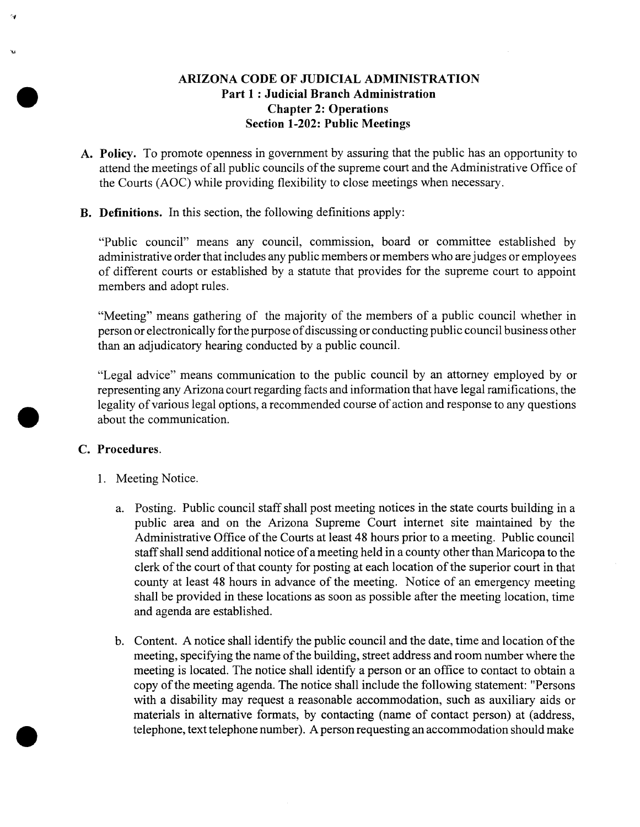# **ARIZONA CODE OF JUDICIAL ADMINISTRATION Part 1: Judicial Branch Administration Chapter 2: Operations Section 1-202: Public Meetings**

- **A. Policy.** To promote openness in government by assuring that the public has an opportunity to attend the meetings of all public councils of the supreme court and the Administrative Office of the Courts (AOC) while providing flexibility to close meetings when necessary.
- B. Definitions. In this section, the following definitions apply:

"Public council" means any council, commission, board or committee established by administrative order that includes any public members or members who are judges or employees of different courts or established by a statute that provides for the supreme court to appoint members and adopt rules.

"Meeting" means gathering of the majority of the members of a public council whether in person or electronically for the purpose of discussing or conducting public council business other than an adjudicatory hearing conducted by a public council.

"Legal advice" means communication to the public council by an attorney employed by or representing any Arizona court regarding facts and information that have legal ramifications, the legality of various legal options, a recommended course of action and response to any questions about the communication.

### **C. Procedures.**

- 1. Meeting Notice.
	- a. Posting. Public council staff shall post meeting notices in the state courts building in a public area and on the Arizona Supreme Court internet site maintained by the Administrative Office of the Courts at least 48 hours prior to a meeting. Public council staff shall send additional notice of a meeting held in a county other than Maricopa to the clerk of the court of that county for posting at each location of the superior court in that county at least 48 hours in advance of the meeting. Notice of an emergency meeting shall be provided in these locations as soon as possible after the meeting location, time and agenda are established.
	- b. Content. A notice shall identify the public council and the date, time and location of the meeting, specifying the name of the building, street address and room number where the meeting is located. The notice shall identify a person or an office to contact to obtain a copy of the meeting agenda. The notice shall include the following statement: "Persons with a disability may request a reasonable accommodation, such as auxiliary aids or materials in alternative formats, by contacting (name of contact person) at (address, telephone, text telephone number). A person requesting an accommodation should make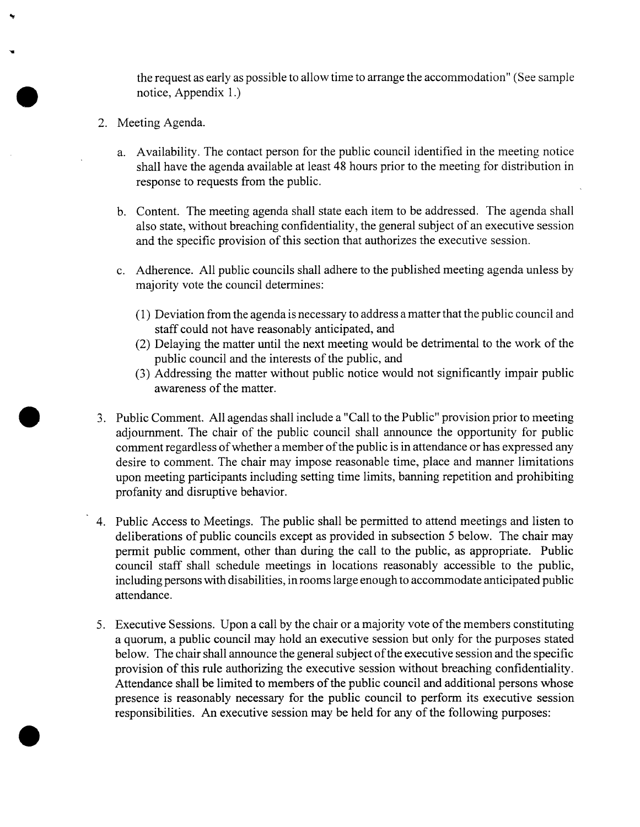the request as early as possible to allow time to arrange the accommodation" (See sample notice, Appendix 1.)

- 2. Meeting Agenda.
	- a. Availability. The contact person for the public council identified in the meeting notice shall have the agenda available at least 48 hours prior to the meeting for distribution in response to requests from the public.
	- b. Content. The meeting agenda shall state each item to be addressed. The agenda shall also state, without breaching confidentiality, the general subject of an executive session and the specific provision of this section that authorizes the executive session.
	- c. Adherence. All public councils shall adhere to the published meeting agenda unless by majority vote the council determines:
		- (1) Deviation from theagenda is necessaryto address amatterthat thepublic council and staff could not have reasonably anticipated, and
		- $(2)$  Delaying the matter until the next meeting would be detrimental to the work of the public council and the interests of the public, and
		- (3) Addressing the matter without public notice would not significantly impair public awareness of the matter.
- 3. Public Comment. All agendas shall include a "Call to the Public" provision prior to meeting adjournment. The chair of the public council shall announce the opportunity for public comment regardless of whether a member of the public is in attendance or has expressed any desire to comment. The chair may impose reasonable time, place and manner limitations upon meeting participants including setting time limits, banning repetition and prohibiting profanity and disruptive behavior.
- 4. Public Access to Meetings. The public shall be permitted to attend meetings and listen to deliberations of public councils except as provided in subsection <sup>5</sup> below. The chair may permit public comment, other than during the call to the public, as appropriate. Public council staff shall schedule meetings in locations reasonably accessible to the public, including persons with disabilities, in rooms large enough to accommodate anticipated public attendance.
- 5. Executive Sessions. Upon a call by the chair or a majority vote of the members constituting a quorum, a public council may hold an executive session but only for the purposes stated below. The chair shall announce the general subject of the executive session and the specific provision ofthis rule authorizing the executive session without breaching confidentiality. Attendance shall be limited to members of the public council and additional persons whose presence is reasonably necessary for the public council to perform its executive session responsibilities. An executive session may be held for any of the following purposes: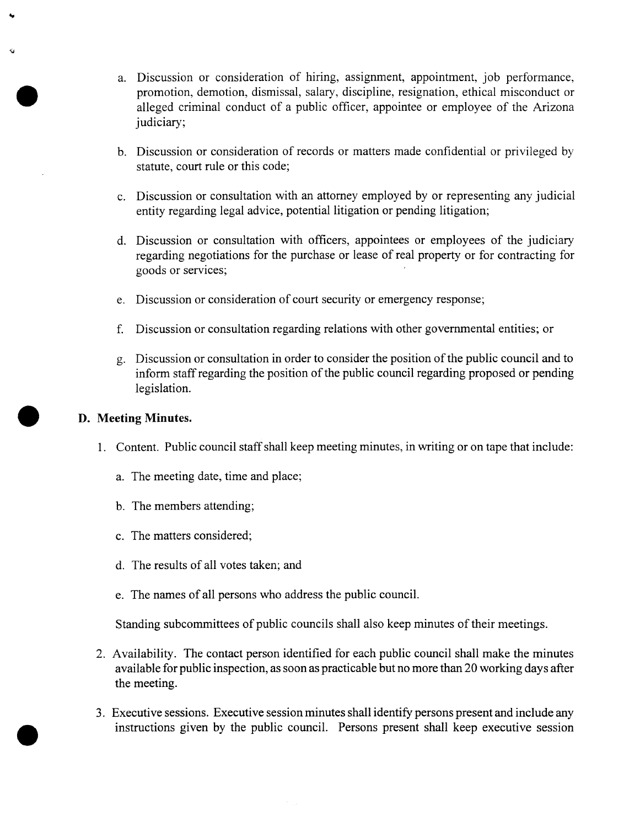- a. Discussion or consideration of hiring, assignment, appointment, job performance, promotion, demotion, dismissal, salary, discipline, resignation, ethical misconduct or alleged criminal conduct of <sup>a</sup> public officer, appointee or employee of the Arizona judiciary;
- b. Discussion or consideration of records or matters made confidential or privileged by statute, court rule or this code;
- c. Discussion or consultation with an attorney employed by or representing any judicial entity regarding legal advice, potential litigation or pending litigation;
- d. Discussion or consultation with officers, appointees or employees of the judiciary regarding negotiations for the purchase or lease of real property or for contracting for goods or services;
- e. Discussion or consideration of court security or emergency response;
- f. Discussion or consultation regarding relations with other governmental entities; or
- g. Discussion or consultation in order to consider the position of the public council and to inform staff regarding the position of the public council regarding proposed or pending legislation.

## **D. Meeting Minutes.**

- 1. Content. Public council staffshall keep meeting minutes, in writing or on tape that include:
	- a. The meeting date, time and place;
	- b. The members attending;
	- c. The matters considered;
	- d. The results of all votes taken; and
	- e. The names of all persons who address the public council.

Standing subcommittees of public councils shall also keep minutes of their meetings.

- 2. Availability. The contact person identified for each public council shall make the minutes available for public inspection, as soon as practicable but no more than 20 working days after the meeting.
- 3. Executive sessions. Executive session minutes shall identify persons present and include any instructions given by the public council. Persons present shall keep executive session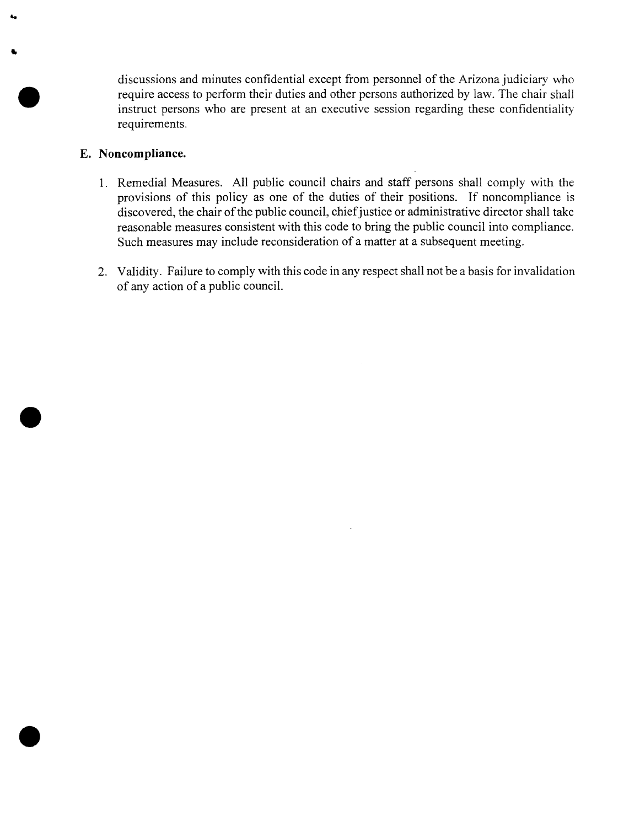discussions and minutes confidential except from personnel of the Arizona judiciary who require access to perform their duties and other persons authorized by law. The chair shall instruct persons who are present at an executive session regarding these confidentiality requirements.

### E. Noncompliance.

- 1. Remedial Measures. All public council chairs and staff persons shall comply with the provisions of this policy as one of the duties of their positions. If noncompliance is discovered, the chair of the public council, chief justice or administrative director shall take reasonable measures consistent with this code to bring the public council into compliance. Such measures may include reconsideration of a matter at a subsequent meeting.
- 2. Validity. Failure to comply with this code in any respect shall not be a basis forinvalidation ofany action of a public council.